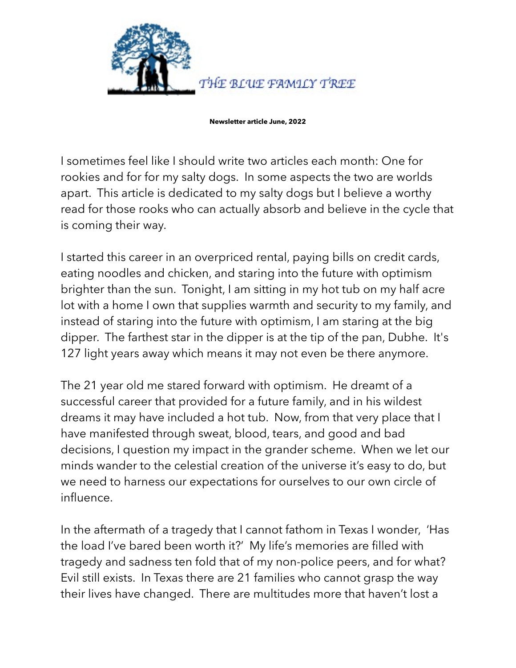

**Newsletter article June, 2022**

I sometimes feel like I should write two articles each month: One for rookies and for for my salty dogs. In some aspects the two are worlds apart. This article is dedicated to my salty dogs but I believe a worthy read for those rooks who can actually absorb and believe in the cycle that is coming their way.

I started this career in an overpriced rental, paying bills on credit cards, eating noodles and chicken, and staring into the future with optimism brighter than the sun. Tonight, I am sitting in my hot tub on my half acre lot with a home I own that supplies warmth and security to my family, and instead of staring into the future with optimism, I am staring at the big dipper. The farthest star in the dipper is at the tip of the pan, Dubhe. It's 127 light years away which means it may not even be there anymore.

The 21 year old me stared forward with optimism. He dreamt of a successful career that provided for a future family, and in his wildest dreams it may have included a hot tub. Now, from that very place that I have manifested through sweat, blood, tears, and good and bad decisions, I question my impact in the grander scheme. When we let our minds wander to the celestial creation of the universe it's easy to do, but we need to harness our expectations for ourselves to our own circle of influence.

In the aftermath of a tragedy that I cannot fathom in Texas I wonder, 'Has the load I've bared been worth it?' My life's memories are filled with tragedy and sadness ten fold that of my non-police peers, and for what? Evil still exists. In Texas there are 21 families who cannot grasp the way their lives have changed. There are multitudes more that haven't lost a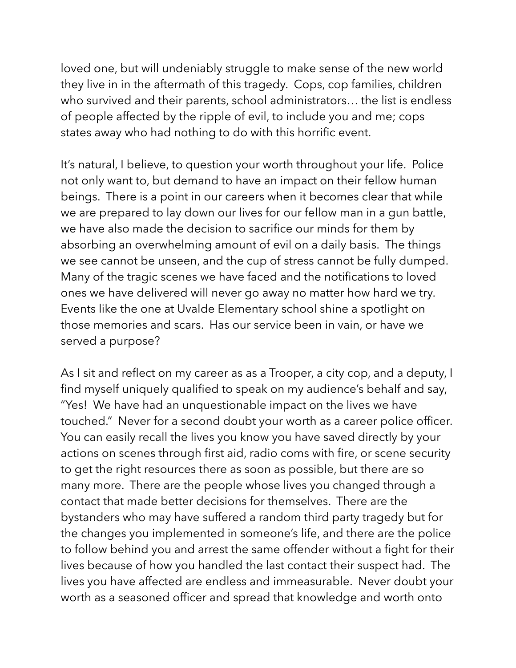loved one, but will undeniably struggle to make sense of the new world they live in in the aftermath of this tragedy. Cops, cop families, children who survived and their parents, school administrators… the list is endless of people affected by the ripple of evil, to include you and me; cops states away who had nothing to do with this horrific event.

It's natural, I believe, to question your worth throughout your life. Police not only want to, but demand to have an impact on their fellow human beings. There is a point in our careers when it becomes clear that while we are prepared to lay down our lives for our fellow man in a gun battle, we have also made the decision to sacrifice our minds for them by absorbing an overwhelming amount of evil on a daily basis. The things we see cannot be unseen, and the cup of stress cannot be fully dumped. Many of the tragic scenes we have faced and the notifications to loved ones we have delivered will never go away no matter how hard we try. Events like the one at Uvalde Elementary school shine a spotlight on those memories and scars. Has our service been in vain, or have we served a purpose?

As I sit and reflect on my career as as a Trooper, a city cop, and a deputy, I find myself uniquely qualified to speak on my audience's behalf and say, "Yes! We have had an unquestionable impact on the lives we have touched." Never for a second doubt your worth as a career police officer. You can easily recall the lives you know you have saved directly by your actions on scenes through first aid, radio coms with fire, or scene security to get the right resources there as soon as possible, but there are so many more. There are the people whose lives you changed through a contact that made better decisions for themselves. There are the bystanders who may have suffered a random third party tragedy but for the changes you implemented in someone's life, and there are the police to follow behind you and arrest the same offender without a fight for their lives because of how you handled the last contact their suspect had. The lives you have affected are endless and immeasurable. Never doubt your worth as a seasoned officer and spread that knowledge and worth onto